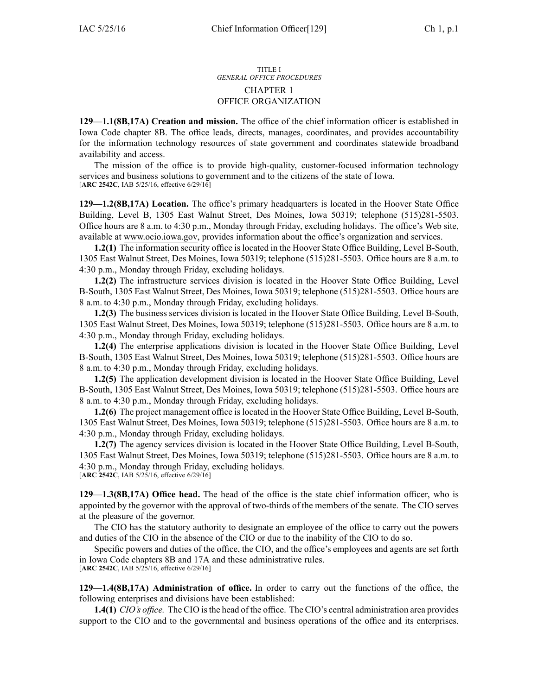## TITLE I *GENERAL OFFICE PROCEDURES* CHAPTER 1 OFFICE ORGANIZATION

**129—1.1(8B,17A) Creation and mission.** The office of the chief information officer is established in Iowa Code chapter [8B](https://www.legis.iowa.gov/docs/ico/chapter/8B.pdf). The office leads, directs, manages, coordinates, and provides accountability for the information technology resources of state governmen<sup>t</sup> and coordinates statewide broadband availability and access.

The mission of the office is to provide high-quality, customer-focused information technology services and business solutions to governmen<sup>t</sup> and to the citizens of the state of Iowa. [**ARC 2542C**, IAB 5/25/16, effective 6/29/16]

**129—1.2(8B,17A) Location.** The office's primary headquarters is located in the Hoover State Office Building, Level B, 1305 East Walnut Street, Des Moines, Iowa 50319; telephone (515)281-5503. Office hours are 8 a.m. to 4:30 p.m., Monday through Friday, excluding holidays. The office's Web site, available at [www.ocio.iowa.gov](http://www.ocio.iowa.gov), provides information about the office's organization and services.

**1.2(1)** The information security office is located in the Hoover State Office Building, Level B-South, 1305 East Walnut Street, Des Moines, Iowa 50319; telephone (515)281-5503. Office hours are 8 a.m. to 4:30 p.m., Monday through Friday, excluding holidays.

**1.2(2)** The infrastructure services division is located in the Hoover State Office Building, Level B-South, 1305 East Walnut Street, Des Moines, Iowa 50319; telephone (515)281-5503. Office hours are 8 a.m. to 4:30 p.m., Monday through Friday, excluding holidays.

**1.2(3)** The business services division is located in the Hoover State Office Building, Level B-South, 1305 East Walnut Street, Des Moines, Iowa 50319; telephone (515)281-5503. Office hours are 8 a.m. to 4:30 p.m., Monday through Friday, excluding holidays.

**1.2(4)** The enterprise applications division is located in the Hoover State Office Building, Level B-South, 1305 East Walnut Street, Des Moines, Iowa 50319; telephone (515)281-5503. Office hours are 8 a.m. to 4:30 p.m., Monday through Friday, excluding holidays.

**1.2(5)** The application development division is located in the Hoover State Office Building, Level B-South, 1305 East Walnut Street, Des Moines, Iowa 50319; telephone (515)281-5503. Office hours are 8 a.m. to 4:30 p.m., Monday through Friday, excluding holidays.

**1.2(6)** The project managemen<sup>t</sup> office is located in the Hoover State Office Building, Level B-South, 1305 East Walnut Street, Des Moines, Iowa 50319; telephone (515)281-5503. Office hours are 8 a.m. to 4:30 p.m., Monday through Friday, excluding holidays.

**1.2(7)** The agency services division is located in the Hoover State Office Building, Level B-South, 1305 East Walnut Street, Des Moines, Iowa 50319; telephone (515)281-5503. Office hours are 8 a.m. to 4:30 p.m., Monday through Friday, excluding holidays. [**ARC 2542C**, IAB 5/25/16, effective 6/29/16]

**129—1.3(8B,17A) Office head.** The head of the office is the state chief information officer, who is appointed by the governor with the approval of two-thirds of the members of the senate. The CIO serves at the pleasure of the governor.

The CIO has the statutory authority to designate an employee of the office to carry out the powers and duties of the CIO in the absence of the CIO or due to the inability of the CIO to do so.

Specific powers and duties of the office, the CIO, and the office's employees and agents are set forth in Iowa Code chapters [8B](https://www.legis.iowa.gov/docs/ico/chapter/8B.pdf) and [17A](https://www.legis.iowa.gov/docs/ico/chapter/17A.pdf) and these administrative rules. [**ARC 2542C**, IAB 5/25/16, effective 6/29/16]

**129—1.4(8B,17A) Administration of office.** In order to carry out the functions of the office, the following enterprises and divisions have been established:

**1.4(1)** *CIO's office.* The CIO isthe head of the office. The CIO's central administration area provides support to the CIO and to the governmental and business operations of the office and its enterprises.